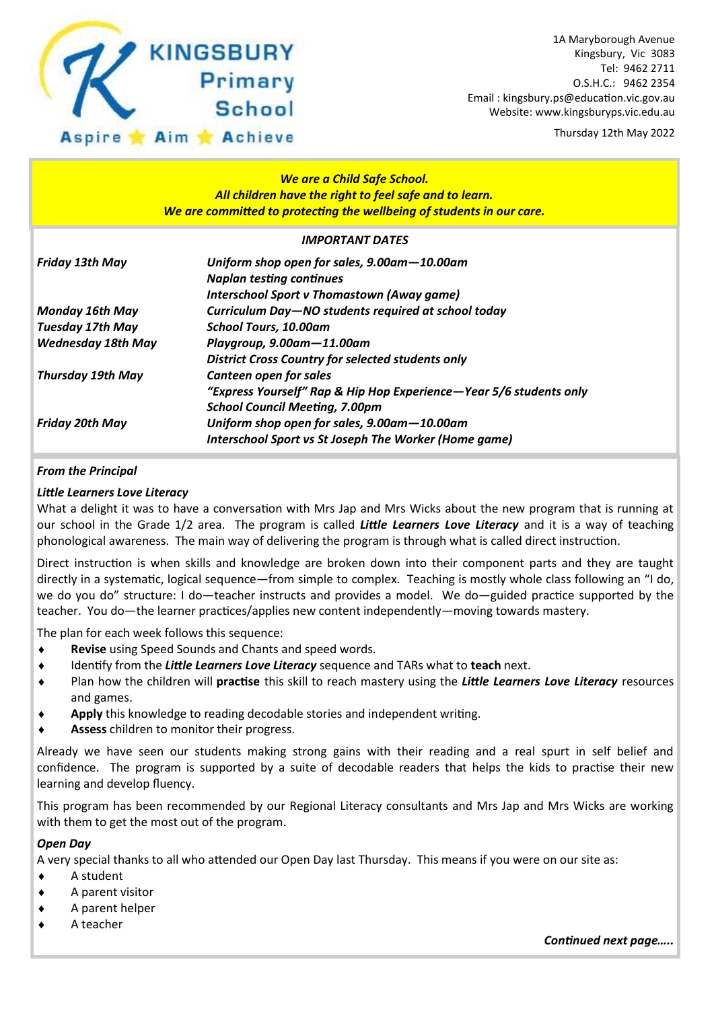

Thursday 12th May 2022

#### *We are a Child Safe School. All children have the right to feel safe and to learn. We are committed to protecting the wellbeing of students in our care.*

#### *IMPORTANT DATES*

| <b>Friday 13th May</b>    | Uniform shop open for sales, 9.00am-10.00am<br><b>Naplan testing continues</b><br>Interschool Sport v Thomastown (Away game) |
|---------------------------|------------------------------------------------------------------------------------------------------------------------------|
| <b>Monday 16th May</b>    | Curriculum Day-NO students required at school today                                                                          |
| <b>Tuesday 17th May</b>   | <b>School Tours, 10.00am</b>                                                                                                 |
| <b>Wednesday 18th May</b> | Playgroup, 9.00am-11.00am                                                                                                    |
|                           | <b>District Cross Country for selected students only</b>                                                                     |
| <b>Thursday 19th May</b>  | Canteen open for sales                                                                                                       |
|                           | "Express Yourself" Rap & Hip Hop Experience-Year 5/6 students only                                                           |
|                           | <b>School Council Meeting, 7.00pm</b>                                                                                        |
| <b>Friday 20th May</b>    | Uniform shop open for sales, 9.00am-10.00am                                                                                  |
|                           | Interschool Sport vs St Joseph The Worker (Home game)                                                                        |

#### *From the Principal*

#### *Little Learners Love Literacy*

What a delight it was to have a conversation with Mrs Jap and Mrs Wicks about the new program that is running at our school in the Grade 1/2 area. The program is called *Little Learners Love Literacy* and it is a way of teaching phonological awareness. The main way of delivering the program is through what is called direct instruction.

Direct instruction is when skills and knowledge are broken down into their component parts and they are taught directly in a systematic, logical sequence—from simple to complex. Teaching is mostly whole class following an "I do, we do you do" structure: I do—teacher instructs and provides a model. We do—guided practice supported by the teacher. You do—the learner practices/applies new content independently—moving towards mastery.

The plan for each week follows this sequence:

- **Revise** using Speed Sounds and Chants and speed words.
- Identify from the *Little Learners Love Literacy* sequence and TARs what to **teach** next.
- Plan how the children will **practise** this skill to reach mastery using the *Little Learners Love Literacy* resources and games.
- **Apply** this knowledge to reading decodable stories and independent writing.
- **Assess** children to monitor their progress.

Already we have seen our students making strong gains with their reading and a real spurt in self belief and confidence. The program is supported by a suite of decodable readers that helps the kids to practise their new learning and develop fluency.

This program has been recommended by our Regional Literacy consultants and Mrs Jap and Mrs Wicks are working with them to get the most out of the program.

#### *Open Day*

A very special thanks to all who attended our Open Day last Thursday. This means if you were on our site as:

- ◆ A student
- A parent visitor
- A parent helper
- ◆ A teacher

*Continued next page…..*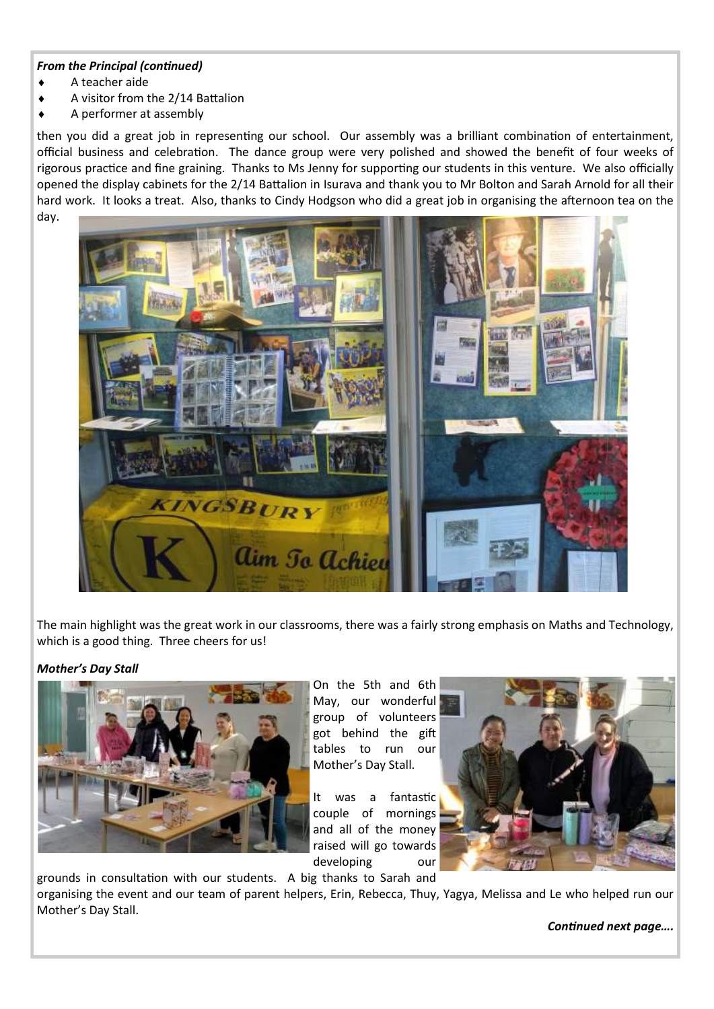#### *From the Principal (continued)*

- $\leftarrow$  A teacher aide
- A visitor from the 2/14 Battalion
- A performer at assembly

then you did a great job in representing our school. Our assembly was a brilliant combination of entertainment, official business and celebration. The dance group were very polished and showed the benefit of four weeks of rigorous practice and fine graining. Thanks to Ms Jenny for supporting our students in this venture. We also officially opened the display cabinets for the 2/14 Battalion in Isurava and thank you to Mr Bolton and Sarah Arnold for all their hard work. It looks a treat. Also, thanks to Cindy Hodgson who did a great job in organising the afternoon tea on the day.



The main highlight was the great work in our classrooms, there was a fairly strong emphasis on Maths and Technology, which is a good thing. Three cheers for us!

#### *Mother's Day Stall*



On the 5th and 6th May, our wonderful group of volunteers got behind the gift tables to run our Mother's Day Stall.

It was a fantastic couple of mornings and all of the money raised will go towards developing our



grounds in consultation with our students. A big thanks to Sarah and organising the event and our team of parent helpers, Erin, Rebecca, Thuy, Yagya, Melissa and Le who helped run our Mother's Day Stall.

*Continued next page….*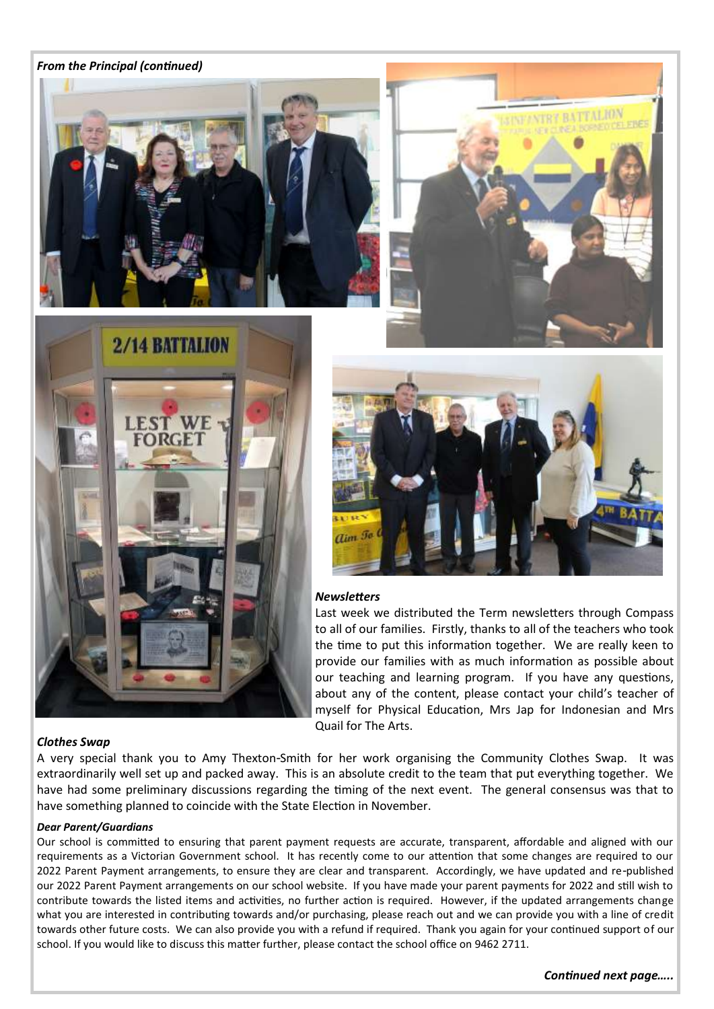#### *From the Principal (continued)*









#### *Newsletters*

Last week we distributed the Term newsletters through Compass to all of our families. Firstly, thanks to all of the teachers who took the time to put this information together. We are really keen to provide our families with as much information as possible about our teaching and learning program. If you have any questions, about any of the content, please contact your child's teacher of myself for Physical Education, Mrs Jap for Indonesian and Mrs Quail for The Arts.

#### *Clothes Swap*

A very special thank you to Amy Thexton-Smith for her work organising the Community Clothes Swap. It was extraordinarily well set up and packed away. This is an absolute credit to the team that put everything together. We have had some preliminary discussions regarding the timing of the next event. The general consensus was that to have something planned to coincide with the State Election in November.

#### *Dear Parent/Guardians*

Our school is committed to ensuring that parent payment requests are accurate, transparent, affordable and aligned with our requirements as a Victorian Government school. It has recently come to our attention that some changes are required to our 2022 Parent Payment arrangements, to ensure they are clear and transparent. Accordingly, we have updated and re-published our 2022 Parent Payment arrangements on our school website. If you have made your parent payments for 2022 and still wish to contribute towards the listed items and activities, no further action is required. However, if the updated arrangements change what you are interested in contributing towards and/or purchasing, please reach out and we can provide you with a line of credit towards other future costs. We can also provide you with a refund if required. Thank you again for your continued support of our school. If you would like to discuss this matter further, please contact the school office on 9462 2711.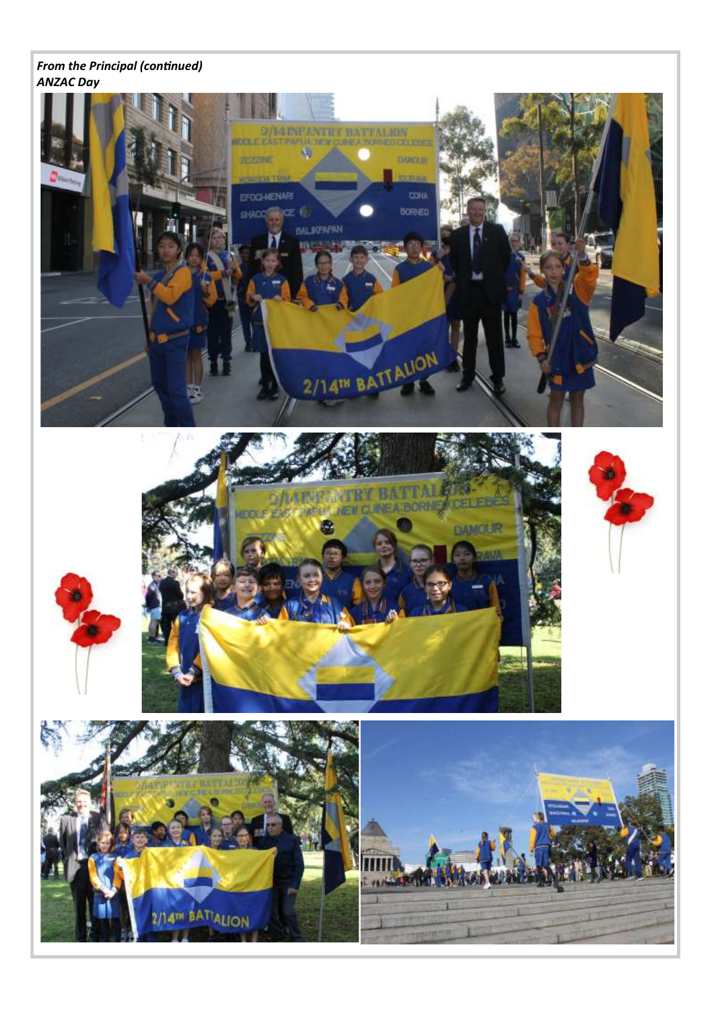#### *From the Principal (continued) ANZAC Day*





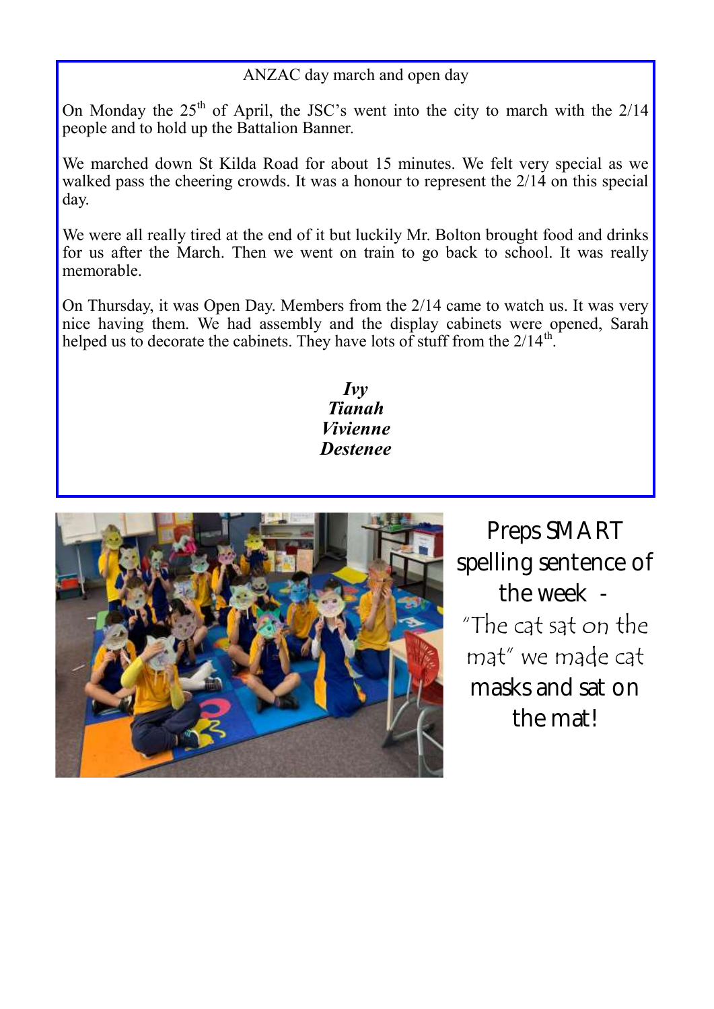### ANZAC day march and open day

On Monday the  $25<sup>th</sup>$  of April, the JSC's went into the city to march with the  $2/14$ people and to hold up the Battalion Banner.

We marched down St Kilda Road for about 15 minutes. We felt very special as we walked pass the cheering crowds. It was a honour to represent the  $2/14$  on this special day.

We were all really tired at the end of it but luckily Mr. Bolton brought food and drinks for us after the March. Then we went on train to go back to school. It was really memorable.

On Thursday, it was Open Day. Members from the 2/14 came to watch us. It was very nice having them. We had assembly and the display cabinets were opened, Sarah helped us to decorate the cabinets. They have lots of stuff from the  $2/14^{\text{th}}$ .

> *Ivy Tianah Vivienne Destenee*



Preps SMART spelling sentence of the week - "The cat sat on the mat" we made cat masks and sat on the mat!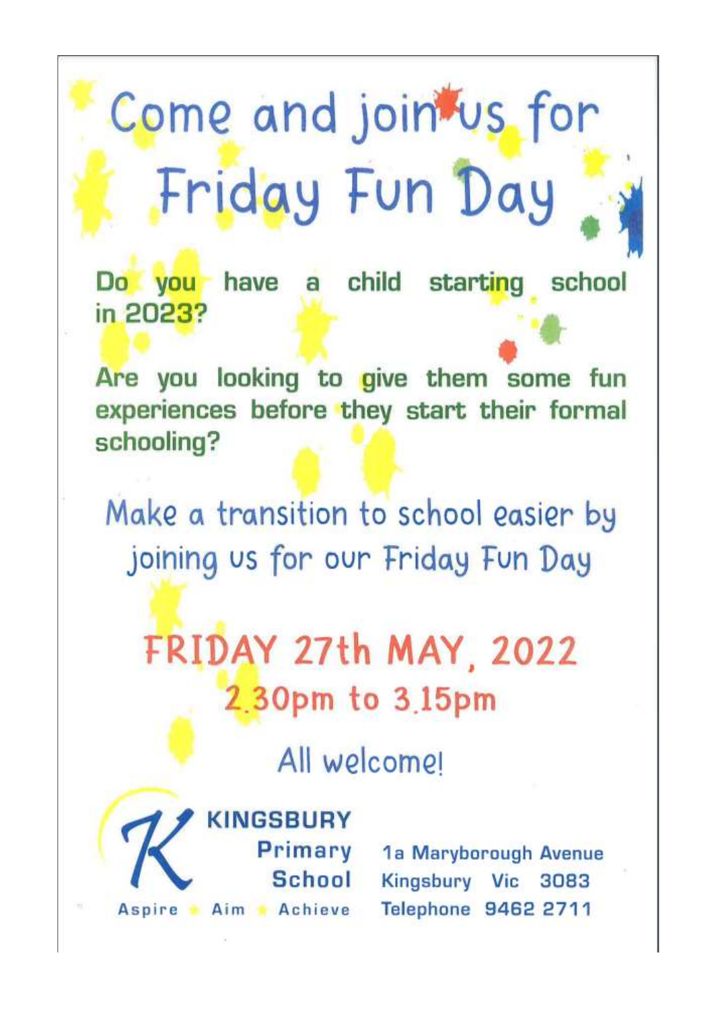# Come and join us for Friday Fun Day

Do you have a child starting school in 2023?

Are you looking to give them some fun experiences before they start their formal schooling?

Make a transition to school easier by joining us for our Friday Fun Day

FRIDAY 27th MAY, 2022 2.30pm to 3.15pm

All welcomer



Primary School

1a Maryborough Avenue Kingsbury Vic 3083 Telephone 9462 2711